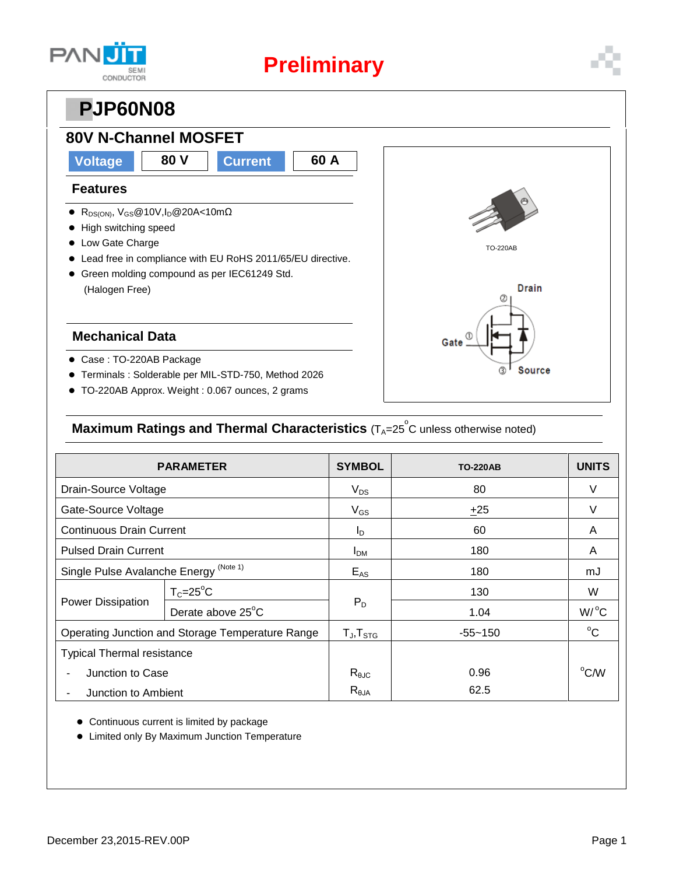

## **PJP60N08**

## **80V N-Channel MOSFET**

### **Voltage 80 V Current 60 A**

#### **Features**

- R<sub>DS(ON)</sub>, V<sub>GS</sub>@10V,I<sub>D</sub>@20A<10mΩ
- High switching speed
- Low Gate Charge
- Lead free in compliance with EU RoHS 2011/65/EU directive.
- Green molding compound as per IEC61249 Std. (Halogen Free)

#### **Mechanical Data**

- Case : TO-220AB Package
- Terminals : Solderable per MIL-STD-750, Method 2026
- TO-220AB Approx. Weight : 0.067 ounces, 2 grams



#### **Maximum Ratings and Thermal Characteristics** (T<sub>A</sub>=25<sup>°</sup>C unless otherwise noted)

| <b>PARAMETER</b>                                 |                   | <b>SYMBOL</b>          | <b>TO-220AB</b> | <b>UNITS</b>       |
|--------------------------------------------------|-------------------|------------------------|-----------------|--------------------|
| Drain-Source Voltage                             |                   | $V_{DS}$               | 80              | V                  |
| Gate-Source Voltage                              |                   | $V_{GS}$               | ±25             | V                  |
| <b>Continuous Drain Current</b>                  |                   | $I_{\text{D}}$         | 60              | A                  |
| <b>Pulsed Drain Current</b>                      |                   | <b>I</b> <sub>DM</sub> | 180             | A                  |
| Single Pulse Avalanche Energy (Note 1)           |                   | $E_{AS}$               | 180             | mJ                 |
| <b>Power Dissipation</b>                         | $T_c = 25$ °C     |                        | 130             | W                  |
|                                                  | Derate above 25°C | $P_D$                  | 1.04            | $W$ / $^{\circ}$ C |
| Operating Junction and Storage Temperature Range |                   | $T_{J}$ , $T_{STG}$    | $-55 - 150$     | $^{\circ}C$        |
| <b>Typical Thermal resistance</b>                |                   |                        |                 |                    |
| Junction to Case                                 |                   | $R_{\theta$ JC         | 0.96            | $^{\circ}$ C/W     |
| Junction to Ambient                              |                   | $R_{\theta$ JA         | 62.5            |                    |

Continuous current is limited by package

Limited only By Maximum Junction Temperature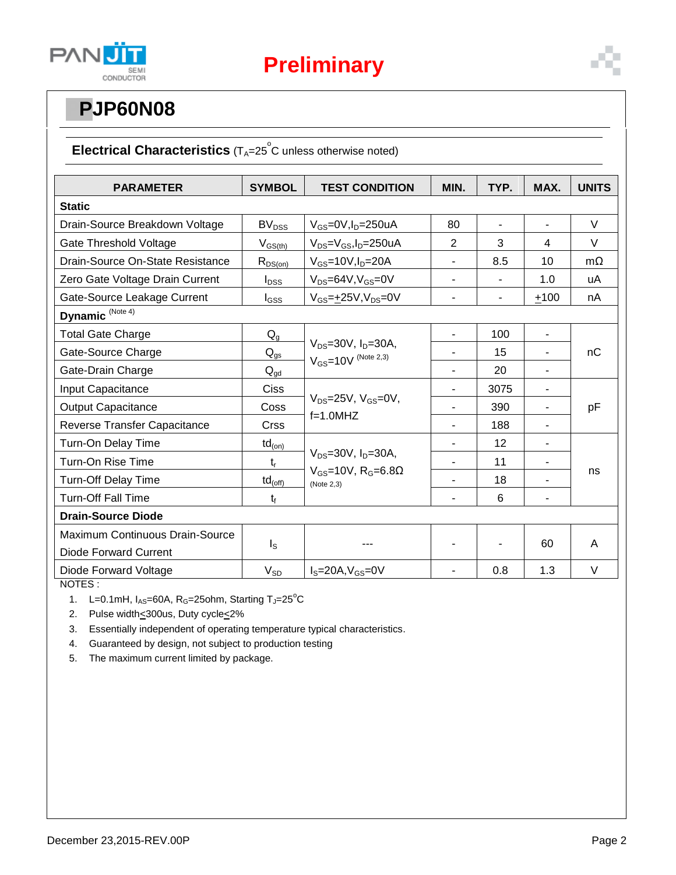

# **PJP60N08**

#### Electrical Characteristics (T<sub>A</sub>=25<sup>°</sup>C unless otherwise noted)

| <b>PARAMETER</b>                       | <b>SYMBOL</b>                                                           | <b>TEST CONDITION</b>                                                                       | MIN.                     | TYP.           | MAX.                     | <b>UNITS</b> |  |
|----------------------------------------|-------------------------------------------------------------------------|---------------------------------------------------------------------------------------------|--------------------------|----------------|--------------------------|--------------|--|
| <b>Static</b>                          |                                                                         |                                                                                             |                          |                |                          |              |  |
|                                        |                                                                         |                                                                                             |                          |                |                          |              |  |
| Drain-Source Breakdown Voltage         | <b>BV<sub>DSS</sub></b>                                                 | $V_{GS}$ =0V, $I_D$ =250uA                                                                  | 80                       |                | $\blacksquare$           | V            |  |
| Gate Threshold Voltage                 | $V_{GS(th)}$                                                            | $V_{DS} = V_{GS}$ , I <sub>D</sub> =250uA                                                   | $\overline{2}$           | 3              | 4                        | $\vee$       |  |
| Drain-Source On-State Resistance       | $R_{DS(on)}$                                                            | $V_{GS}$ =10V, $I_D$ =20A                                                                   |                          | 8.5            | 10                       | $m\Omega$    |  |
| Zero Gate Voltage Drain Current        | $I_{DSS}$                                                               | $V_{DS} = 64V, V_{GS} = 0V$                                                                 | $\overline{\phantom{a}}$ | $\blacksquare$ | 1.0                      | uA           |  |
| Gate-Source Leakage Current            | I <sub>GSS</sub>                                                        | $V_{GS} = \pm 25V, V_{DS} = 0V$                                                             | ۰                        | ۰              | $+100$                   | nA           |  |
| Dynamic <sup>(Note 4)</sup>            |                                                                         |                                                                                             |                          |                |                          |              |  |
| <b>Total Gate Charge</b>               | $Q_{g}$                                                                 |                                                                                             | $\overline{\phantom{a}}$ | 100            | $\overline{\phantom{a}}$ |              |  |
| Gate-Source Charge                     | $V_{DS} = 30V$ , $I_D = 30A$ ,<br>$Q_{gs}$<br>$V_{GS} = 10V$ (Note 2,3) |                                                                                             |                          | 15             | $\blacksquare$           | nC           |  |
| Gate-Drain Charge                      | $\mathsf{Q}_{\text{gd}}$                                                |                                                                                             |                          | 20             |                          |              |  |
| Input Capacitance                      | <b>Ciss</b>                                                             |                                                                                             |                          | 3075           | L,                       | pF           |  |
| <b>Output Capacitance</b>              | Coss                                                                    | $V_{DS}$ =25V, $V_{GS}$ =0V,                                                                |                          | 390            | $\blacksquare$           |              |  |
| Reverse Transfer Capacitance           | <b>Crss</b>                                                             | $f=1.0$ MHZ                                                                                 |                          | 188            |                          |              |  |
| Turn-On Delay Time                     | $\mathsf{td}_{\mathsf{(on)}}$                                           |                                                                                             |                          | 12             |                          | ns           |  |
| Turn-On Rise Time                      | $t_{r}$                                                                 | $V_{DS} = 30V$ , $I_D = 30A$ ,<br>$V_{GS}$ =10V, R <sub>G</sub> =6.8 $\Omega$<br>(Note 2,3) |                          | 11             | $\blacksquare$           |              |  |
| <b>Turn-Off Delay Time</b>             | $td_{(off)}$                                                            |                                                                                             |                          | 18             |                          |              |  |
| <b>Turn-Off Fall Time</b>              | $t_{\rm f}$                                                             |                                                                                             |                          | 6              | $\overline{\phantom{0}}$ |              |  |
| <b>Drain-Source Diode</b>              |                                                                         |                                                                                             |                          |                |                          |              |  |
| <b>Maximum Continuous Drain-Source</b> |                                                                         |                                                                                             |                          |                | 60                       | A            |  |
| <b>Diode Forward Current</b>           | $I_{\rm S}$                                                             |                                                                                             |                          |                |                          |              |  |
| Diode Forward Voltage                  | $V_{SD}$                                                                | $IS=20A, VGS=0V$                                                                            |                          | 0.8            | 1.3                      | V            |  |

NOTES :

1. L=0.1mH,  $I_{AS}$ =60A, R<sub>G</sub>=25ohm, Starting T<sub>J</sub>=25°C

2. Pulse width<a>S200us, Duty cycle<<a>2%

3. Essentially independent of operating temperature typical characteristics.

4. Guaranteed by design, not subject to production testing

5. The maximum current limited by package.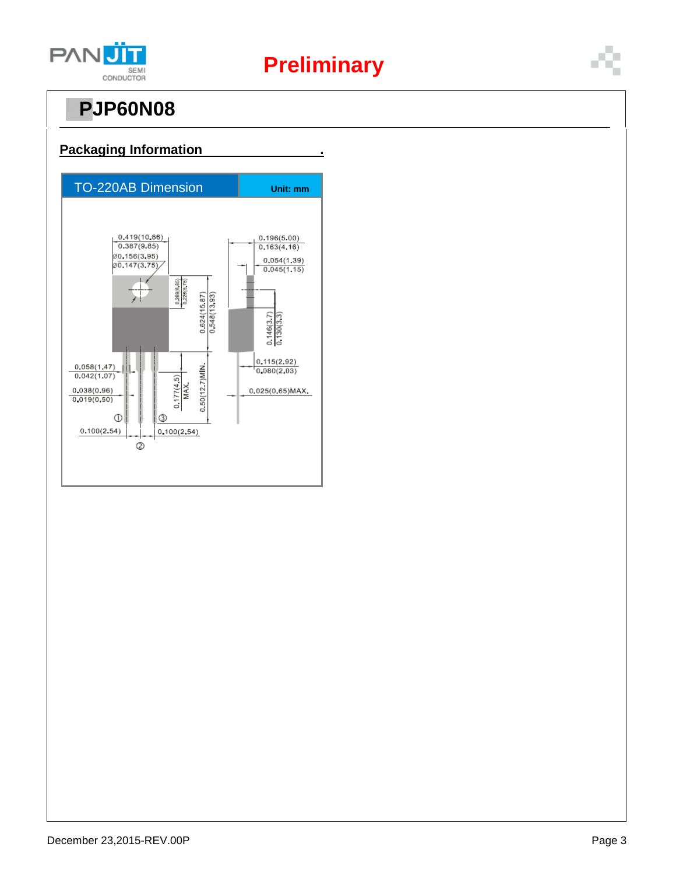

# **Preliminary**

# **PJP60N08**



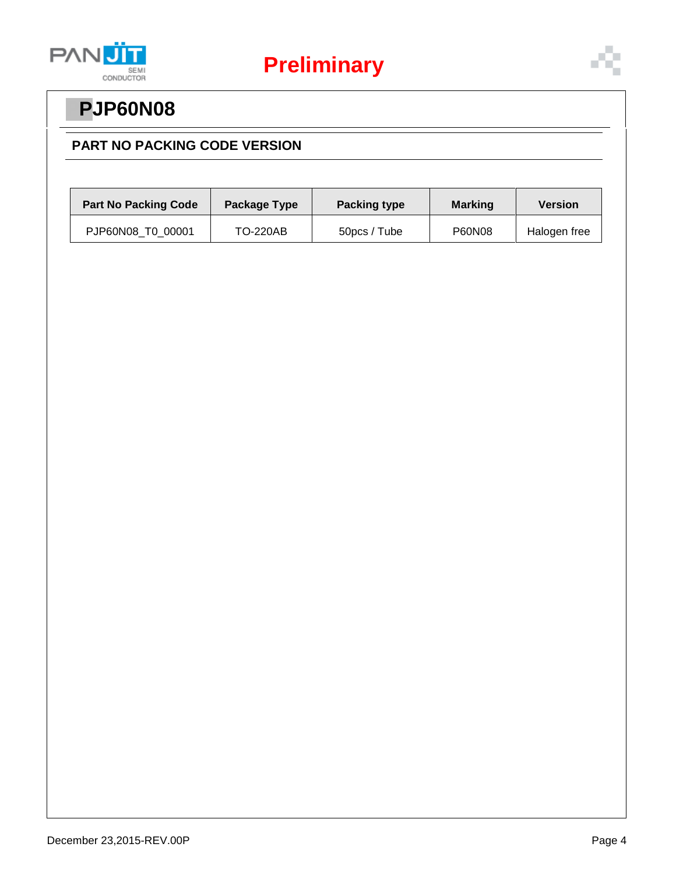

# **PPJP60N08**

#### **PART NO PACKING CODE VERSION**

| <b>Part No Packing Code</b> | Package Type    | <b>Packing type</b> | <b>Marking</b> | <b>Version</b> |
|-----------------------------|-----------------|---------------------|----------------|----------------|
| PJP60N08 T0 00001           | <b>TO-220AB</b> | 50pcs / Tube        | P60N08         | Halogen free   |